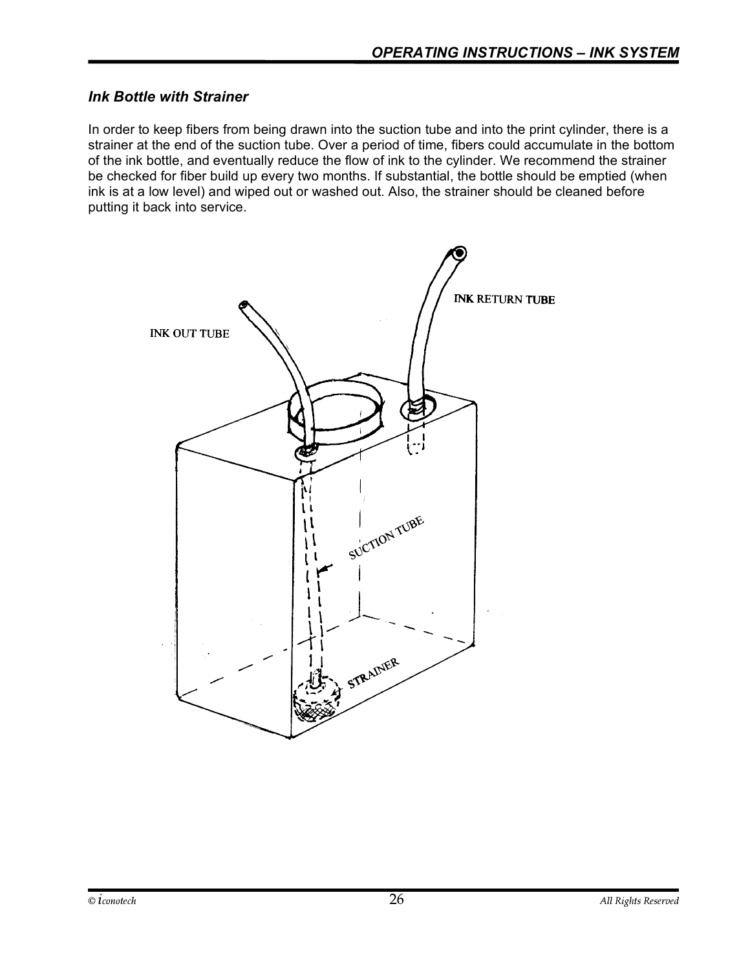#### Ink Bottle with Strainer

In order to keep fibers from being drawn into the suction tube and into the print cylinder, there is a strainer at the end of the suction tube. Over a period of time, fibers could accumulate in the bottom of the ink bottle, and eventually reduce the flow of ink to the cylinder. We recommend the strainer be checked for fiber build up every two months. If substantial, the bottle should be emptied (when ink is at a low level) and wiped out or washed out. Also, the strainer should be cleaned before putting it back into service.

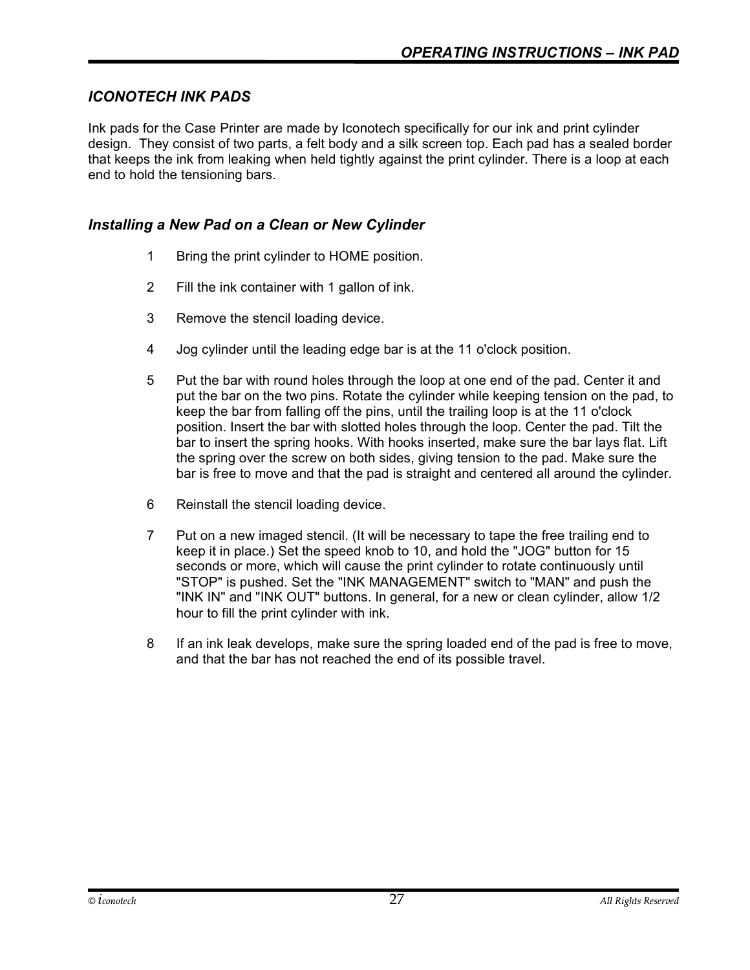#### ICONOTECH INK PADS

Ink pads for the Case Printer are made by Iconotech specifically for our ink and print cylinder design. They consist of two parts, a felt body and a silk screen top. Each pad has a sealed border that keeps the ink from leaking when held tightly against the print cylinder. There is a loop at each end to hold the tensioning bars.

#### Installing a New Pad on a Clean or New Cylinder

- 1 Bring the print cylinder to HOME position.
- 2 Fill the ink container with 1 gallon of ink.
- 3 Remove the stencil loading device.
- 4 Jog cylinder until the leading edge bar is at the 11 o'clock position.
- 5 Put the bar with round holes through the loop at one end of the pad. Center it and put the bar on the two pins. Rotate the cylinder while keeping tension on the pad, to keep the bar from falling off the pins, until the trailing loop is at the 11 o'clock position. Insert the bar with slotted holes through the loop. Center the pad. Tilt the bar to insert the spring hooks. With hooks inserted, make sure the bar lays flat. Lift the spring over the screw on both sides, giving tension to the pad. Make sure the bar is free to move and that the pad is straight and centered all around the cylinder.
- 6 Reinstall the stencil loading device.
- 7 Put on a new imaged stencil. (It will be necessary to tape the free trailing end to keep it in place.) Set the speed knob to 10, and hold the "JOG" button for 15 seconds or more, which will cause the print cylinder to rotate continuously until "STOP" is pushed. Set the "INK MANAGEMENT" switch to "MAN" and push the "INK IN" and "INK OUT" buttons. In general, for a new or clean cylinder, allow 1/2 hour to fill the print cylinder with ink.
- 8 If an ink leak develops, make sure the spring loaded end of the pad is free to move, and that the bar has not reached the end of its possible travel.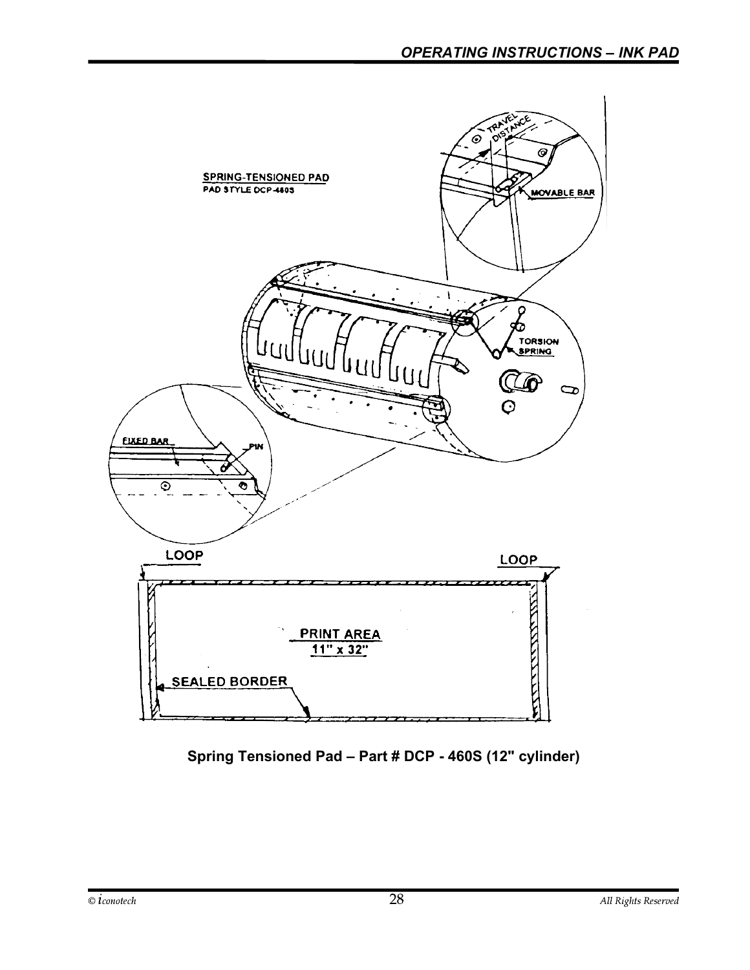

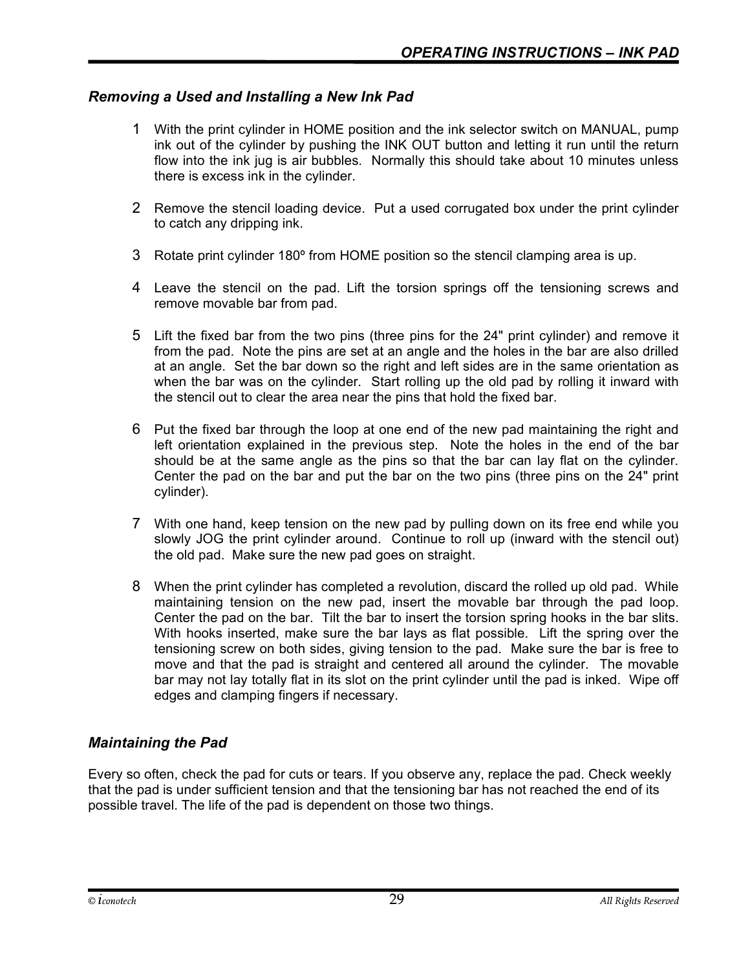#### Removing a Used and Installing a New Ink Pad

- 1 With the print cylinder in HOME position and the ink selector switch on MANUAL, pump ink out of the cylinder by pushing the INK OUT button and letting it run until the return flow into the ink jug is air bubbles. Normally this should take about 10 minutes unless there is excess ink in the cylinder.
- 2 Remove the stencil loading device. Put a used corrugated box under the print cylinder to catch any dripping ink.
- 3 Rotate print cylinder 180º from HOME position so the stencil clamping area is up.
- 4 Leave the stencil on the pad. Lift the torsion springs off the tensioning screws and remove movable bar from pad.
- 5 Lift the fixed bar from the two pins (three pins for the 24" print cylinder) and remove it from the pad. Note the pins are set at an angle and the holes in the bar are also drilled at an angle. Set the bar down so the right and left sides are in the same orientation as when the bar was on the cylinder. Start rolling up the old pad by rolling it inward with the stencil out to clear the area near the pins that hold the fixed bar.
- 6 Put the fixed bar through the loop at one end of the new pad maintaining the right and left orientation explained in the previous step. Note the holes in the end of the bar should be at the same angle as the pins so that the bar can lay flat on the cylinder. Center the pad on the bar and put the bar on the two pins (three pins on the 24" print cylinder).
- 7 With one hand, keep tension on the new pad by pulling down on its free end while you slowly JOG the print cylinder around. Continue to roll up (inward with the stencil out) the old pad. Make sure the new pad goes on straight.
- 8 When the print cylinder has completed a revolution, discard the rolled up old pad. While maintaining tension on the new pad, insert the movable bar through the pad loop. Center the pad on the bar. Tilt the bar to insert the torsion spring hooks in the bar slits. With hooks inserted, make sure the bar lays as flat possible. Lift the spring over the tensioning screw on both sides, giving tension to the pad. Make sure the bar is free to move and that the pad is straight and centered all around the cylinder. The movable bar may not lay totally flat in its slot on the print cylinder until the pad is inked. Wipe off edges and clamping fingers if necessary.

#### Maintaining the Pad

Every so often, check the pad for cuts or tears. If you observe any, replace the pad. Check weekly that the pad is under sufficient tension and that the tensioning bar has not reached the end of its possible travel. The life of the pad is dependent on those two things.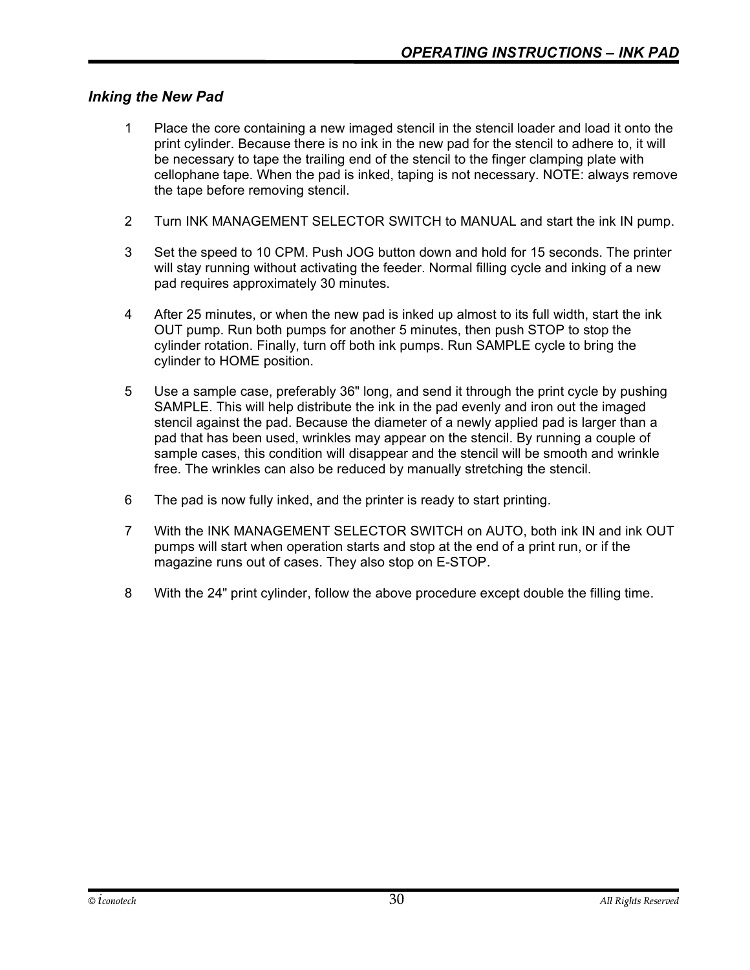#### Inking the New Pad

- 1 Place the core containing a new imaged stencil in the stencil loader and load it onto the print cylinder. Because there is no ink in the new pad for the stencil to adhere to, it will be necessary to tape the trailing end of the stencil to the finger clamping plate with cellophane tape. When the pad is inked, taping is not necessary. NOTE: always remove the tape before removing stencil.
- 2 Turn INK MANAGEMENT SELECTOR SWITCH to MANUAL and start the ink IN pump.
- 3 Set the speed to 10 CPM. Push JOG button down and hold for 15 seconds. The printer will stay running without activating the feeder. Normal filling cycle and inking of a new pad requires approximately 30 minutes.
- 4 After 25 minutes, or when the new pad is inked up almost to its full width, start the ink OUT pump. Run both pumps for another 5 minutes, then push STOP to stop the cylinder rotation. Finally, turn off both ink pumps. Run SAMPLE cycle to bring the cylinder to HOME position.
- 5 Use a sample case, preferably 36" long, and send it through the print cycle by pushing SAMPLE. This will help distribute the ink in the pad evenly and iron out the imaged stencil against the pad. Because the diameter of a newly applied pad is larger than a pad that has been used, wrinkles may appear on the stencil. By running a couple of sample cases, this condition will disappear and the stencil will be smooth and wrinkle free. The wrinkles can also be reduced by manually stretching the stencil.
- 6 The pad is now fully inked, and the printer is ready to start printing.
- 7 With the INK MANAGEMENT SELECTOR SWITCH on AUTO, both ink IN and ink OUT pumps will start when operation starts and stop at the end of a print run, or if the magazine runs out of cases. They also stop on E-STOP.
- 8 With the 24" print cylinder, follow the above procedure except double the filling time.